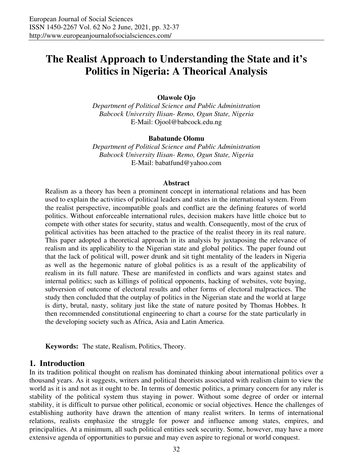# **The Realist Approach to Understanding the State and it's Politics in Nigeria: A Theorical Analysis**

### **Olawole Ojo**

*Department of Political Science and Public Administration Babcock University Ilisan- Remo, Ogun State, Nigeria* E-Mail: Ojool@babcock.edu.ng

#### **Babatunde Olomu**

*Department of Political Science and Public Administration Babcock University Ilisan- Remo, Ogun State, Nigeria*  E-Mail: babatfund@yahoo.com

#### **Abstract**

Realism as a theory has been a prominent concept in international relations and has been used to explain the activities of political leaders and states in the international system. From the realist perspective, incompatible goals and conflict are the defining features of world politics. Without enforceable international rules, decision makers have little choice but to compete with other states for security, status and wealth. Consequently, most of the crux of political activities has been attached to the practice of the realist theory in its real nature. This paper adopted a theoretical approach in its analysis by juxtaposing the relevance of realism and its applicability to the Nigerian state and global politics. The paper found out that the lack of political will, power drunk and sit tight mentality of the leaders in Nigeria as well as the hegemonic nature of global politics is as a result of the applicability of realism in its full nature. These are manifested in conflicts and wars against states and internal politics; such as killings of political opponents, hacking of websites, vote buying, subversion of outcome of electoral results and other forms of electoral malpractices. The study then concluded that the outplay of politics in the Nigerian state and the world at large is dirty, brutal, nasty, solitary just like the state of nature posited by Thomas Hobbes. It then recommended constitutional engineering to chart a course for the state particularly in the developing society such as Africa, Asia and Latin America.

**Keywords:** The state, Realism, Politics, Theory.

## **1. Introduction**

In its tradition political thought on realism has dominated thinking about international politics over a thousand years. As it suggests, writers and political theorists associated with realism claim to view the world as it is and not as it ought to be. In terms of domestic politics, a primary concern for any ruler is stability of the political system thus staying in power. Without some degree of order or internal stability, it is difficult to pursue other political, economic or social objectives. Hence the challenges of establishing authority have drawn the attention of many realist writers. In terms of international relations, realists emphasize the struggle for power and influence among states, empires, and principalities. At a minimum, all such political entities seek security. Some, however, may have a more extensive agenda of opportunities to pursue and may even aspire to regional or world conquest.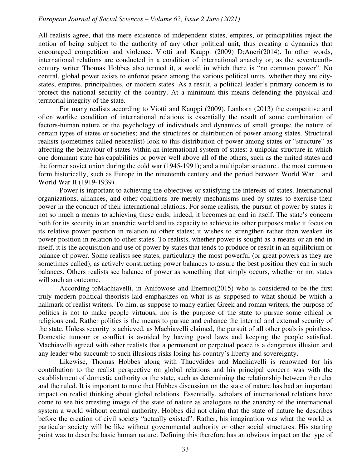#### *European Journal of Social Sciences – Volume 62, Issue 2 June (2021)*

All realists agree, that the mere existence of independent states, empires, or principalities reject the notion of being subject to the authority of any other political unit, thus creating a dynamics that encouraged competition and violence. Viotti and Kauppi (2009) D;Aneri(2014). In other words, international relations are conducted in a condition of international anarchy or, as the seventeenthcentury writer Thomas Hobbes also termed it, a world in which there is "no common power". No central, global power exists to enforce peace among the various political units, whether they are citystates, empires, principalities, or modern states. As a result, a political leader's primary concern is to protect the national security of the country. At a minimum this means defending the physical and territorial integrity of the state.

For many realists according to Viotti and Kauppi (2009), Lanborn (2013) the competitive and often warlike condition of international relations is essentially the result of some combination of factors-human nature or the psychology of individuals and dynamics of small groups; the nature of certain types of states or societies; and the structures or distribution of power among states. Structural realists (sometimes called neorealist) look to this distribution of power among states or "structure" as affecting the behaviour of states within an international system of states: a unipolar structure in which one dominant state has capabilities or power well above all of the others, such as the united states and the former soviet union during the cold war (1945-1991); and a multipolar structure , the most common form historically, such as Europe in the nineteenth century and the period between World War 1 and World War II (1919-1939).

Power is important to achieving the objectives or satisfying the interests of states. International organizations, alliances, and other coalitions are merely mechanisms used by states to exercise their power in the conduct of their international relations. For some realists, the pursuit of power by states it not so much a means to achieving these ends; indeed, it becomes an end in itself. The state's concern both for its security in an anarchic world and its capacity to achieve its other purposes make it focus on its relative power position in relation to other states; it wishes to strengthen rather than weaken its power position in relation to other states. To realists, whether power is sought as a means or an end in itself, it is the acquisition and use of power by states that tends to produce or result in an equilibrium or balance of power. Some realists see states, particularly the most powerful (or great powers as they are sometimes called), as actively constructing power balances to assure the best position they can in such balances. Others realists see balance of power as something that simply occurs, whether or not states will such an outcome.

According toMachiavelli, in Anifowose and Enemuo(2015) who is considered to be the first truly modern political theorists laid emphasizes on what is as supposed to what should be which a hallmark of realist writers. To him, as suppose to many earlier Greek and roman writers, the purpose of politics is not to make people virtuous, nor is the purpose of the state to pursue some ethical or religious end. Rather politics is the means to pursue and enhance the internal and external security of the state. Unless security is achieved, as Machiavelli claimed, the pursuit of all other goals is pointless. Domestic tumour or conflict is avoided by having good laws and keeping the people satisfied. Machiavelli agreed with other realists that a permanent or perpetual peace is a dangerous illusion and any leader who succumb to such illusions risks losing his country's liberty and sovereignty.

Likewise, Thomas Hobbes along with Thucydides and Machiavelli is renowned for his contribution to the realist perspective on global relations and his principal concern was with the establishment of domestic authority or the state, such as determining the relationship between the ruler and the ruled. It is important to note that Hobbes discussion on the state of nature has had an important impact on realist thinking about global relations. Essentially, scholars of international relations have come to see his arresting image of the state of nature as analogous to the anarchy of the international system a world without central authority. Hobbes did not claim that the state of nature he describes before the creation of civil society "actually existed". Rather, his imagination was what the world or particular society will be like without governmental authority or other social structures. His starting point was to describe basic human nature. Defining this therefore has an obvious impact on the type of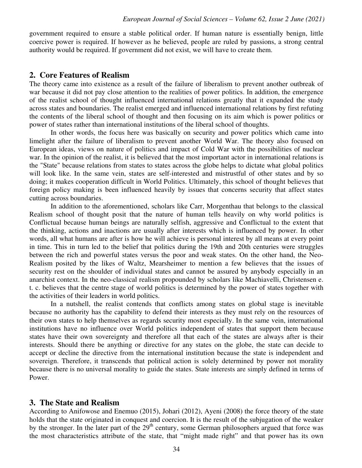government required to ensure a stable political order. If human nature is essentially benign, little coercive power is required. If however as he believed, people are ruled by passions, a strong central authority would be required. If government did not exist, we will have to create them.

#### **2. Core Features of Realism**

The theory came into existence as a result of the failure of liberalism to prevent another outbreak of war because it did not pay close attention to the realities of power politics. In addition, the emergence of the realist school of thought influenced international relations greatly that it expanded the study across states and boundaries. The realist emerged and influenced international relations by first refuting the contents of the liberal school of thought and then focusing on its aim which is power politics or power of states rather than international institutions of the liberal school of thoughts.

In other words, the focus here was basically on security and power politics which came into limelight after the failure of liberalism to prevent another World War. The theory also focused on European ideas, views on nature of politics and impact of Cold War with the possibilities of nuclear war. In the opinion of the realist, it is believed that the most important actor in international relations is the "State" because relations from states to states across the globe helps to dictate what global politics will look like. In the same vein, states are self-interested and mistrustful of other states and by so doing; it makes cooperation difficult in World Politics. Ultimately, this school of thought believes that foreign policy making is been influenced heavily by issues that concerns security that affect states cutting across boundaries.

In addition to the aforementioned, scholars like Carr, Morgenthau that belongs to the classical Realism school of thought posit that the nature of human tells heavily on why world politics is Conflictual because human beings are naturally selfish, aggressive and Conflictual to the extent that the thinking, actions and inactions are usually after interests which is influenced by power. In other words, all what humans are after is how he will achieve is personal interest by all means at every point in time. This in turn led to the belief that politics during the 19th and 20th centuries were struggles between the rich and powerful states versus the poor and weak states. On the other hand, the Neo-Realism posited by the likes of Waltz, Mearsheimer to mention a few believes that the issues of security rest on the shoulder of individual states and cannot be assured by anybody especially in an anarchist context. In the neo-classical realism propounded by scholars like Machiavelli, Christensen e. t. c. believes that the centre stage of world politics is determined by the power of states together with the activities of their leaders in world politics.

In a nutshell, the realist contends that conflicts among states on global stage is inevitable because no authority has the capability to defend their interests as they must rely on the resources of their own states to help themselves as regards security most especially. In the same vein, international institutions have no influence over World politics independent of states that support them because states have their own sovereignty and therefore all that each of the states are always after is their interests. Should there be anything or directive for any states on the globe, the state can decide to accept or decline the directive from the international institution because the state is independent and sovereign. Therefore, it transcends that political action is solely determined by power not morality because there is no universal morality to guide the states. State interests are simply defined in terms of Power.

#### **3. The State and Realism**

According to Anifowose and Enemuo (2015), Johari (2012), Ayeni (2008) the force theory of the state holds that the state originated in conquest and coercion. It is the result of the subjugation of the weaker by the stronger. In the later part of the  $29<sup>th</sup>$  century, some German philosophers argued that force was the most characteristics attribute of the state, that "might made right" and that power has its own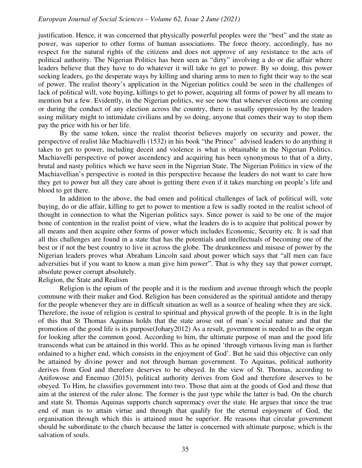justification. Hence, it was concerned that physically powerful peoples were the "best" and the state as power, was superior to other forms of human associations. The force theory, accordingly, has no respect for the natural rights of the citizens and does not approve of any resistance to the acts of political authority. The Nigerian Politics has been seen as "dirty" involving a do or die affair where leaders believe that they have to do whatever it will take to get to power. By so doing, this power seeking leaders, go the desperate ways by killing and sharing arms to men to fight their way to the seat of power. The realist theory's application in the Nigerian politics could be seen in the challenges of lack of political will, vote buying, killings to get to power, acquiring all forms of power by all means to mention but a few. Evidently, in the Nigerian politics, we see now that whenever elections are coming or during the conduct of any election across the country, there is usually oppression by the leaders using military might to intimidate civilians and by so doing, anyone that comes their way to stop them pay the price with his or her life.

By the same token, since the realist theorist believes majorly on security and power, the perspective of realist like Machiavelli (1532) in his book "the Prince" advised leaders to do anything it takes to get to power, including deceit and violence is what is obtainable in the Nigerian Politics. Machiavelli perspective of power ascendency and acquiring has been synonymous to that of a dirty, brutal and nasty politics which we have seen in the Nigerian State. The Nigerian Politics in view of the Machiavellian's perspective is rooted in this perspective because the leaders do not want to care how they get to power but all they care about is getting there even if it takes marching on people's life and blood to get there.

In addition to the above, the bad omen and political challenges of lack of political will, vote buying, do or die affair, killing to get to power to mention a few is sadly rooted in the realist school of thought in connection to what the Nigerian politics says. Since power is said to be one of the major bone of contention in the realist point of view, what the leaders do is to acquire that political power by all means and then acquire other forms of power which includes Economic, Security etc. It is sad that all this challenges are found in a state that has the potentials and intellectuals of becoming one of the best or if not the best country to live in across the globe. The drunkenness and misuse of power by the Nigerian leaders proves what Abraham Lincoln said about power which says that "all men can face adversities but if you want to know a man give him power". That is why they say that power corrupt, absolute power corrupt absolutely.

Religion, the State and Realism

Religion is the opium of the people and it is the medium and avenue through which the people commune with their maker and God. Religion has been considered as the spiritual antidote and therapy for the people whenever they are in difficult situation as well as a source of healing when they are sick. Therefore, the issue of religion is central to spiritual and physical growth of the people. It is in the light of this that St Thomas Aquinas holds that the state arose out of man's social nature and that the promotion of the good life is its purpose(Johary2012) As a result, government is needed to as the organ for looking after the common good. According to him, the ultimate purpose of man and the good life transcends what can be attained in this world. This as he opined 'through virtuous living man is further ordained to a higher end, which consists in the enjoyment of God'. But he said this objective can only be attained by divine power and not through human government. To Aquinas, political authority derives from God and therefore deserves to be obeyed. In the view of St. Thomas, according to Anifowose and Enemuo (2015), political authority derives from God and therefore deserves to be obeyed. To Him, he classifies government into two. Those that aim at the goods of God and those that aim at the interest of the ruler alone. The former is the just type while the latter is bad. On the church and state St. Thomas Aquinas supports church supremacy over the state. He argues that since the true end of man is to attain virtue and through that qualify for the eternal enjoyment of God, the organisation through which this is attained must be superior. He reasons that circular government should be subordinate to the church because the latter is concerned with ultimate purpose, which is the salvation of souls.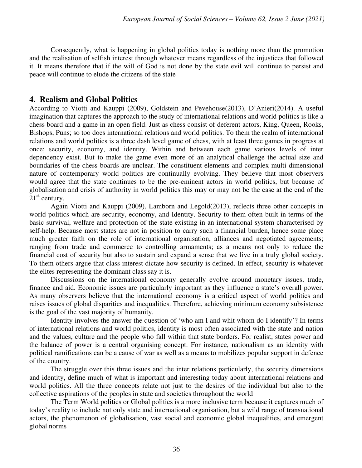Consequently, what is happening in global politics today is nothing more than the promotion and the realisation of selfish interest through whatever means regardless of the injustices that followed it. It means therefore that if the will of God is not done by the state evil will continue to persist and peace will continue to elude the citizens of the state

# **4. Realism and Global Politics**

According to Viotti and Kauppi (2009), Goldstein and Pevehouse(2013), D'Anieri(2014). A useful imagination that captures the approach to the study of international relations and world politics is like a chess board and a game in an open field. Just as chess consist of deferent actors, King, Queen, Rooks, Bishops, Puns; so too does international relations and world politics. To them the realm of international relations and world politics is a three dash level game of chess, with at least three games in progress at once; security, economy, and identity. Within and between each game various levels of inter dependency exist. But to make the game even more of an analytical challenge the actual size and boundaries of the chess boards are unclear. The constituent elements and complex multi-dimensional nature of contemporary world politics are continually evolving. They believe that most observers would agree that the state continues to be the pre-eminent actors in world politics, but because of globalisation and crisis of authority in world politics this may or may not be the case at the end of the  $21<sup>st</sup>$  century.

Again Viotti and Kauppi (2009), Lamborn and Legold(2013), reflects three other concepts in world politics which are security, economy, and Identity. Security to them often built in terms of the basic survival, welfare and protection of the state existing in an international system characterised by self-help. Because most states are not in position to carry such a financial burden, hence some place much greater faith on the role of international organisation, alliances and negotiated agreements; ranging from trade and commerce to controlling armaments; as a means not only to reduce the financial cost of security but also to sustain and expand a sense that we live in a truly global society. To them others argue that class interest dictate how security is defined. In effect, security is whatever the elites representing the dominant class say it is.

Discussions on the international economy generally evolve around monetary issues, trade, finance and aid. Economic issues are particularly important as they influence a state's overall power. As many observers believe that the international economy is a critical aspect of world politics and raises issues of global disparities and inequalities. Therefore, achieving minimum economy subsistence is the goal of the vast majority of humanity.

Identity involves the answer the question of 'who am I and whit whom do I identify'? In terms of international relations and world politics, identity is most often associated with the state and nation and the values, culture and the people who fall within that state borders. For realist, states power and the balance of power is a central organising concept. For instance, nationalism as an identity with political ramifications can be a cause of war as well as a means to mobilizes popular support in defence of the country.

The struggle over this three issues and the inter relations particularly, the security dimensions and identity, define much of what is important and interesting today about international relations and world politics. All the three concepts relate not just to the desires of the individual but also to the collective aspirations of the peoples in state and societies throughout the world

The Term World politics or Global politics is a more inclusive term because it captures much of today's reality to include not only state and international organisation, but a wild range of transnational actors, the phenomenon of globalisation, vast social and economic global inequalities, and emergent global norms